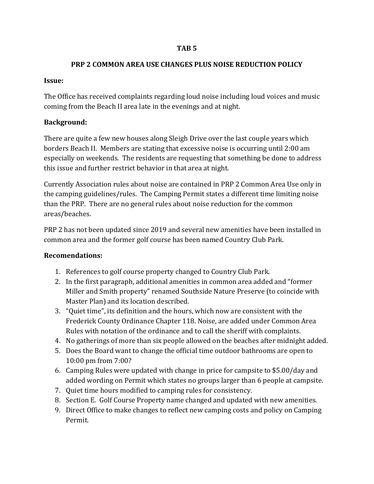### **TAB 5**

### **PRP 2 COMMON AREA USE CHANGES PLUS NOISE REDUCTION POLICY**

### **Issue:**

The Office has received complaints regarding loud noise including loud voices and music coming from the Beach II area late in the evenings and at night.

## **Background:**

There are quite a few new houses along Sleigh Drive over the last couple years which borders Beach II. Members are stating that excessive noise is occurring until 2:00 am especially on weekends. The residents are requesting that something be done to address this issue and further restrict behavior in that area at night.

Currently Association rules about noise are contained in PRP 2 Common Area Use only in the camping guidelines/rules. The Camping Permit states a different time limiting noise than the PRP. There are no general rules about noise reduction for the common areas/beaches.

PRP 2 has not been updated since 2019 and several new amenities have been installed in common area and the former golf course has been named Country Club Park.

### **Recomendations:**

- 1. References to golf course property changed to Country Club Park.
- 2. In the first paragraph, additional amenities in common area added and "former Miller and Smith property" renamed Southside Nature Preserve (to coincide with Master Plan) and its location described.
- 3. "Quiet time", its definition and the hours, which now are consistent with the Frederick County Ordinance Chapter 118. Noise, are added under Common Area Rules with notation of the ordinance and to call the sheriff with complaints.
- 4. No gatherings of more than six people allowed on the beaches after midnight added.
- 5. Does the Board want to change the official time outdoor bathrooms are open to 10:00 pm from 7:00?
- 6. Camping Rules were updated with change in price for campsite to \$5.00/day and added wording on Permit which states no groups larger than 6 people at campsite.
- 7. Quiet time hours modified to camping rules for consistency.
- 8. Section E. Golf Course Property name changed and updated with new amenities.
- 9. Direct Office to make changes to reflect new camping costs and policy on Camping Permit.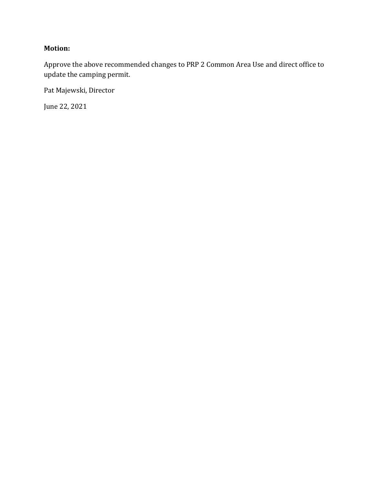## **Motion:**

Approve the above recommended changes to PRP 2 Common Area Use and direct office to update the camping permit.

Pat Majewski, Director

June 22, 2021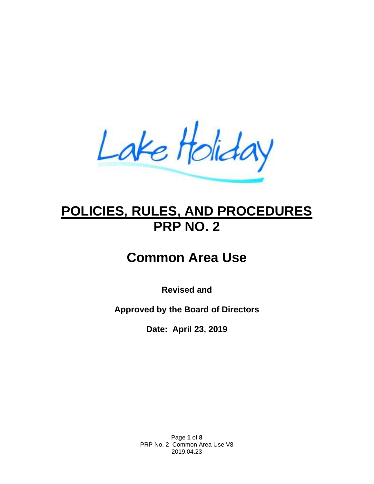Lake Holiday

# **POLICIES, RULES, AND PROCEDURES PRP NO. 2**

# **Common Area Use**

**Revised and**

**Approved by the Board of Directors**

**Date: April 23, 2019**

Page **1** of **8** PRP No. 2 Common Area Use V8 2019.04.23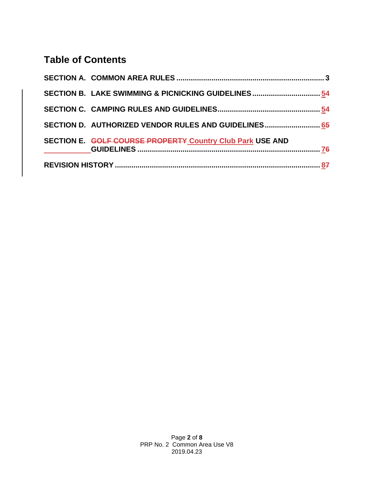# **Table of Contents**

|  | SECTION B. LAKE SWIMMING & PICNICKING GUIDELINES 54       |  |  |  |
|--|-----------------------------------------------------------|--|--|--|
|  |                                                           |  |  |  |
|  | SECTION D. AUTHORIZED VENDOR RULES AND GUIDELINES 65      |  |  |  |
|  | SECTION E. GOLF COURSE PROPERTY Country Club Park USE AND |  |  |  |
|  |                                                           |  |  |  |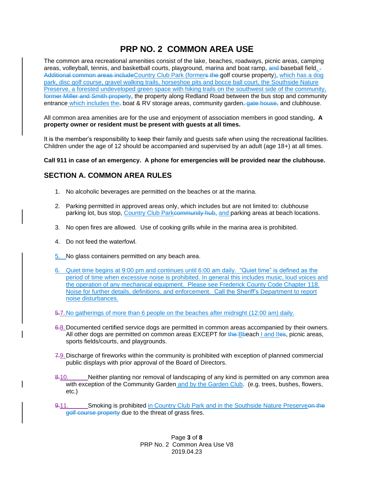# **PRP NO. 2 COMMON AREA USE**

The common area recreational amenities consist of the lake, beaches, roadways, picnic areas, camping areas, volleyball, tennis, and basketball courts, playground, marina and boat ramp, and baseball field, Additional common areas includeCountry Club Park (formers the golf course property), which has a dog park, disc golf course, gravel walking trails, horseshoe pits and bocce ball court, the Southside Nature Preserve, a forested undeveloped green space with hiking trails on the southwest side of the community, former Miller and Smith property, the property along Redland Road between the bus stop and community entrance which includes the, boat & RV storage areas, community garden, gate house, and clubhouse.

All common area amenities are for the use and enjoyment of association members in good standing**. A property owner or resident must be present with guests at all times.**

It is the member's responsibility to keep their family and guests safe when using the recreational facilities. Children under the age of 12 should be accompanied and supervised by an adult (age 18+) at all times.

**Call 911 in case of an emergency. A phone for emergencies will be provided near the clubhouse.**

### <span id="page-4-0"></span>**SECTION A. COMMON AREA RULES**

- 1. No alcoholic beverages are permitted on the beaches or at the marina.
- 2. Parking permitted in approved areas only, which includes but are not limited to: clubhouse parking lot, bus stop, Country Club Parkcommunity hub, and parking areas at beach locations.
- 3. No open fires are allowed. Use of cooking grills while in the marina area is prohibited.
- 4. Do not feed the waterfowl.
- 5. No glass containers permitted on any beach area.
- 6. Quiet time begins at 9:00 pm and continues until 6:00 am daily. "Quiet time" is defined as the period of time when excessive noise is prohibited. In general this includes music, loud voices and the operation of any mechanical equipment. Please see Frederick County Code Chapter 118. Noise for further details, definitions, and enforcement. Call the Sheriff's Department to report noise disturbances.
- 5.7.No gatherings of more than 6 people on the beaches after midnight (12:00 am) daily.
- 6.8.Documented certified service dogs are permitted in common areas accompanied by their owners. All other dogs are permitted on common areas EXCEPT for the Bbeach I and Iles, picnic areas, sports fields/courts, and playgrounds.
- 7.9. Discharge of fireworks within the community is prohibited with exception of planned commercial public displays with prior approval of the Board of Directors.
- 8-10. Neither planting nor removal of landscaping of any kind is permitted on any common area with exception of the Community Garden and by the Garden Club. (e.g. trees, bushes, flowers, etc.)
- 9.11. Smoking is prohibited in Country Club Park and in the Southside Nature Preserveen the golf course property due to the threat of grass fires.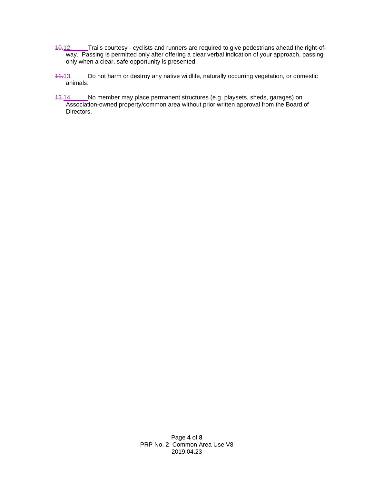- 10.12. Trails courtesy cyclists and runners are required to give pedestrians ahead the right-ofway. Passing is permitted only after offering a clear verbal indication of your approach, passing only when a clear, safe opportunity is presented.
- 11.13. Do not harm or destroy any native wildlife, naturally occurring vegetation, or domestic animals.
- <span id="page-5-0"></span>12.14. No member may place permanent structures (e.g. playsets, sheds, garages) on Association-owned property/common area without prior written approval from the Board of Directors.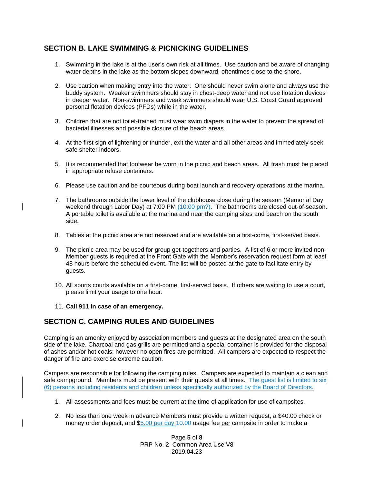### **SECTION B. LAKE SWIMMING & PICNICKING GUIDELINES**

- 1. Swimming in the lake is at the user's own risk at all times. Use caution and be aware of changing water depths in the lake as the bottom slopes downward, oftentimes close to the shore.
- 2. Use caution when making entry into the water. One should never swim alone and always use the buddy system. Weaker swimmers should stay in chest-deep water and not use flotation devices in deeper water. Non-swimmers and weak swimmers should wear U.S. Coast Guard approved personal flotation devices (PFDs) while in the water.
- 3. Children that are not toilet-trained must wear swim diapers in the water to prevent the spread of bacterial illnesses and possible closure of the beach areas.
- 4. At the first sign of lightening or thunder, exit the water and all other areas and immediately seek safe shelter indoors.
- 5. It is recommended that footwear be worn in the picnic and beach areas. All trash must be placed in appropriate refuse containers.
- 6. Please use caution and be courteous during boat launch and recovery operations at the marina.
- 7. The bathrooms outside the lower level of the clubhouse close during the season (Memorial Day weekend through Labor Day) at 7:00 PM  $(10:00 \text{ pm}?)$ . The bathrooms are closed out-of-season. A portable toilet is available at the marina and near the camping sites and beach on the south side.
- 8. Tables at the picnic area are not reserved and are available on a first-come, first-served basis.
- 9. The picnic area may be used for group get-togethers and parties. A list of 6 or more invited non-Member guests is required at the Front Gate with the Member's reservation request form at least 48 hours before the scheduled event. The list will be posted at the gate to facilitate entry by guests.
- 10. All sports courts available on a first-come, first-served basis. If others are waiting to use a court, please limit your usage to one hour.
- 11. **Call 911 in case of an emergency.**

### <span id="page-6-0"></span>**SECTION C. CAMPING RULES AND GUIDELINES**

Camping is an amenity enjoyed by association members and guests at the designated area on the south side of the lake. Charcoal and gas grills are permitted and a special container is provided for the disposal of ashes and/or hot coals; however no open fires are permitted. All campers are expected to respect the danger of fire and exercise extreme caution.

Campers are responsible for following the camping rules. Campers are expected to maintain a clean and safe campground. Members must be present with their guests at all times. The guest list is limited to six (6) persons including residents and children unless specifically authorized by the Board of Directors.

- 1. All assessments and fees must be current at the time of application for use of campsites.
- 2. No less than one week in advance Members must provide a written request, a \$40.00 check or money order deposit, and \$5.00 per day 40.00-usage fee per campsite in order to make a

Page **5** of **8** PRP No. 2 Common Area Use V8 2019.04.23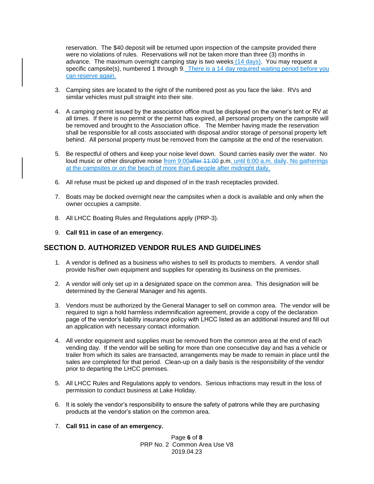reservation. The \$40 deposit will be returned upon inspection of the campsite provided there were no violations of rules. Reservations will not be taken more than three (3) months in advance. The maximum overnight camping stay is two weeks (14 days). You may request a specific campsite(s), numbered 1 through 9. There is a 14 day required waiting period before you can reserve again.

- 3. Camping sites are located to the right of the numbered post as you face the lake. RVs and similar vehicles must pull straight into their site.
- 4. A camping permit issued by the association office must be displayed on the owner's tent or RV at all times. If there is no permit or the permit has expired, all personal property on the campsite will be removed and brought to the Association office. The Member having made the reservation shall be responsible for all costs associated with disposal and/or storage of personal property left behind. All personal property must be removed from the campsite at the end of the reservation.
- 5. Be respectful of others and keep your noise level down. Sound carries easily over the water. No loud music or other disruptive noise from 9:00after 11:00 p.m. until 6:00 a.m. daily. No gatherings at the campsites or on the beach of more than 6 people after midnight daily.
- 6. All refuse must be picked up and disposed of in the trash receptacles provided.
- 7. Boats may be docked overnight near the campsites when a dock is available and only when the owner occupies a campsite.
- 8. All LHCC Boating Rules and Regulations apply (PRP-3).
- 9. **Call 911 in case of an emergency.**

### <span id="page-7-0"></span>**SECTION D. AUTHORIZED VENDOR RULES AND GUIDELINES**

- 1. A vendor is defined as a business who wishes to sell its products to members. A vendor shall provide his/her own equipment and supplies for operating its business on the premises.
- 2. A vendor will only set up in a designated space on the common area. This designation will be determined by the General Manager and his agents.
- 3. Vendors must be authorized by the General Manager to sell on common area. The vendor will be required to sign a hold harmless indemnification agreement, provide a copy of the declaration page of the vendor's liability insurance policy with LHCC listed as an additional insured and fill out an application with necessary contact information.
- 4. All vendor equipment and supplies must be removed from the common area at the end of each vending day. If the vendor will be selling for more than one consecutive day and has a vehicle or trailer from which its sales are transacted, arrangements may be made to remain in place until the sales are completed for that period. Clean-up on a daily basis is the responsibility of the vendor prior to departing the LHCC premises.
- 5. All LHCC Rules and Regulations apply to vendors. Serious infractions may result in the loss of permission to conduct business at Lake Holiday.
- 6. It is solely the vendor's responsibility to ensure the safety of patrons while they are purchasing products at the vendor's station on the common area.
- <span id="page-7-1"></span>7. **Call 911 in case of an emergency.**

Page **6** of **8** PRP No. 2 Common Area Use V8 2019.04.23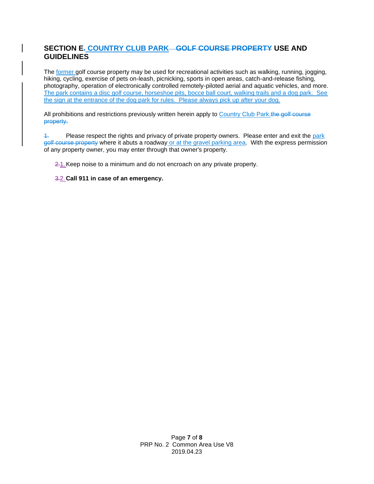### **SECTION E. COUNTRY CLUB PARK GOLF COURSE PROPERTY USE AND GUIDELINES**

The former golf course property may be used for recreational activities such as walking, running, jogging, hiking, cycling, exercise of pets on-leash, picnicking, sports in open areas, catch-and-release fishing, photography, operation of electronically controlled remotely-piloted aerial and aquatic vehicles, and more. The park contains a disc golf course, horseshoe pits, bocce ball court, walking trails and a dog park. See the sign at the entrance of the dog park for rules. Please always pick up after your dog.

All prohibitions and restrictions previously written herein apply to Country Club Park.the golf course property.

1. Please respect the rights and privacy of private property owners. Please enter and exit the park golf course property where it abuts a roadway or at the gravel parking area. With the express permission of any property owner, you may enter through that owner's property.

2.1. Keep noise to a minimum and do not encroach on any private property.

3.2.**Call 911 in case of an emergency.**

Page **7** of **8** PRP No. 2 Common Area Use V8 2019.04.23